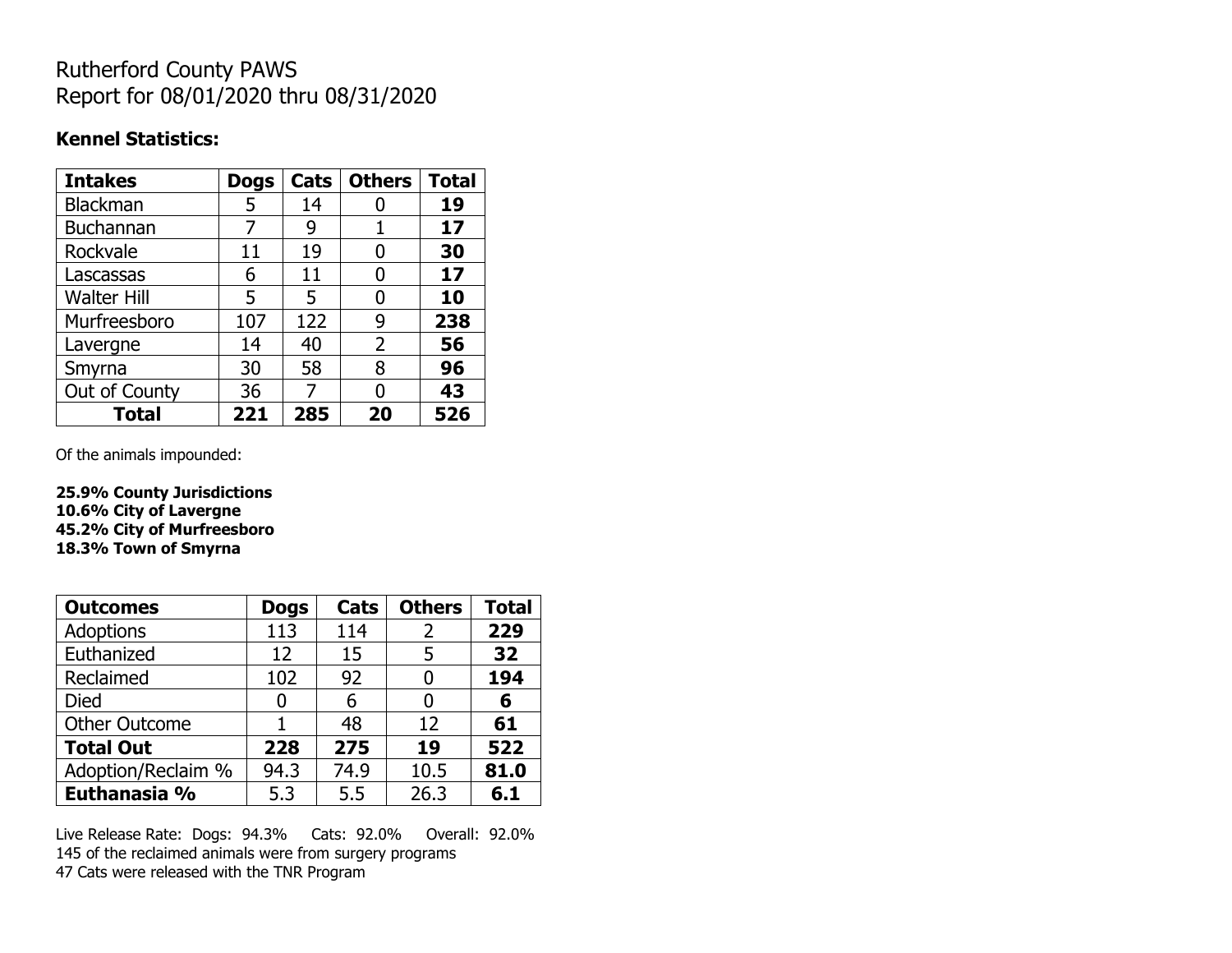## Rutherford County PAWS Report for 08/01/2020 thru 08/31/2020

### **Kennel Statistics:**

| <b>Intakes</b>     | <b>Dogs</b> | Cats | <b>Others</b> | <b>Total</b> |
|--------------------|-------------|------|---------------|--------------|
| <b>Blackman</b>    | 5           | 14   |               | 19           |
| <b>Buchannan</b>   | 7           | 9    |               | 17           |
| Rockvale           | 11          | 19   | O             | 30           |
| Lascassas          | 6           | 11   | 0             | 17           |
| <b>Walter Hill</b> | 5           | 5    | O             | 10           |
| Murfreesboro       | 107         | 122  | 9             | 238          |
| Lavergne           | 14          | 40   | 2             | 56           |
| Smyrna             | 30          | 58   | 8             | 96           |
| Out of County      | 36          | 7    | O             | 43           |
| <b>Total</b>       | 221         | 285  | 20            | 526          |

Of the animals impounded:

**25.9% County Jurisdictions 10.6% City of Lavergne 45.2% City of Murfreesboro 18.3% Town of Smyrna**

| <b>Outcomes</b>      | <b>Dogs</b> | Cats | <b>Others</b> | <b>Total</b> |
|----------------------|-------------|------|---------------|--------------|
| Adoptions            | 113         | 114  | 2             | 229          |
| Euthanized           | 12          | 15   | 5             | 32           |
| Reclaimed            | 102         | 92   |               | 194          |
| Died                 | 0           | 6    |               | 6            |
| <b>Other Outcome</b> |             | 48   | 12            | 61           |
| <b>Total Out</b>     | 228         | 275  | 19            | 522          |
| Adoption/Reclaim %   | 94.3        | 74.9 | 10.5          | 81.0         |
| Euthanasia %         | 5.3         | 5.5  | 26.3          | 6.1          |

Live Release Rate: Dogs: 94.3% Cats: 92.0% Overall: 92.0% 145 of the reclaimed animals were from surgery programs 47 Cats were released with the TNR Program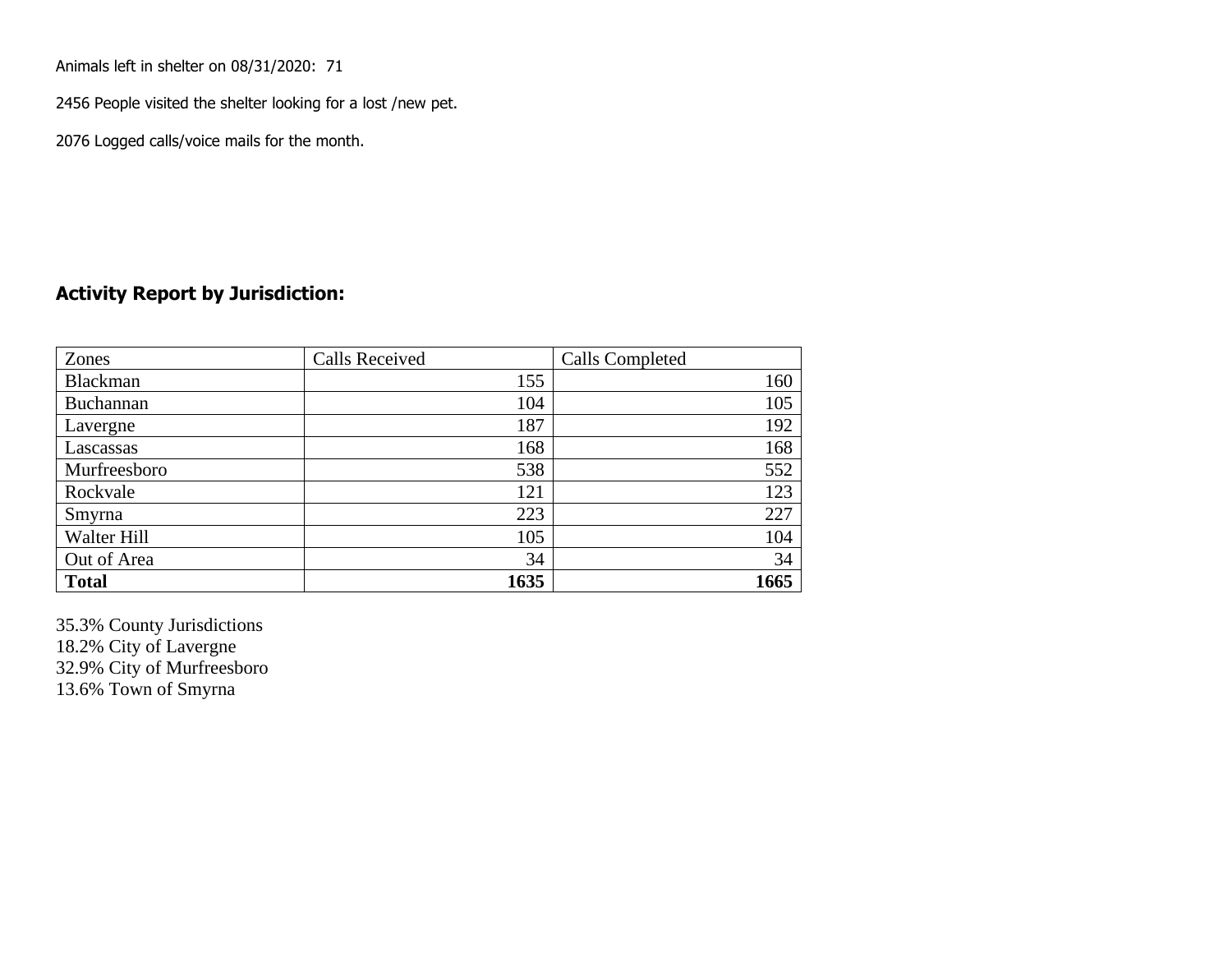Animals left in shelter on 08/31/2020: 71

2456 People visited the shelter looking for a lost /new pet.

2076 Logged calls/voice mails for the month.

### **Activity Report by Jurisdiction:**

| Zones           | <b>Calls Received</b> | Calls Completed |
|-----------------|-----------------------|-----------------|
| <b>Blackman</b> | 155                   | 160             |
| Buchannan       | 104                   | 105             |
| Lavergne        | 187                   | 192             |
| Lascassas       | 168                   | 168             |
| Murfreesboro    | 538                   | 552             |
| Rockvale        | 121                   | 123             |
| Smyrna          | 223                   | 227             |
| Walter Hill     | 105                   | 104             |
| Out of Area     | 34                    | 34              |
| <b>Total</b>    | 1635                  | 1665            |

35.3% County Jurisdictions 18.2% City of Lavergne 32.9% City of Murfreesboro 13.6% Town of Smyrna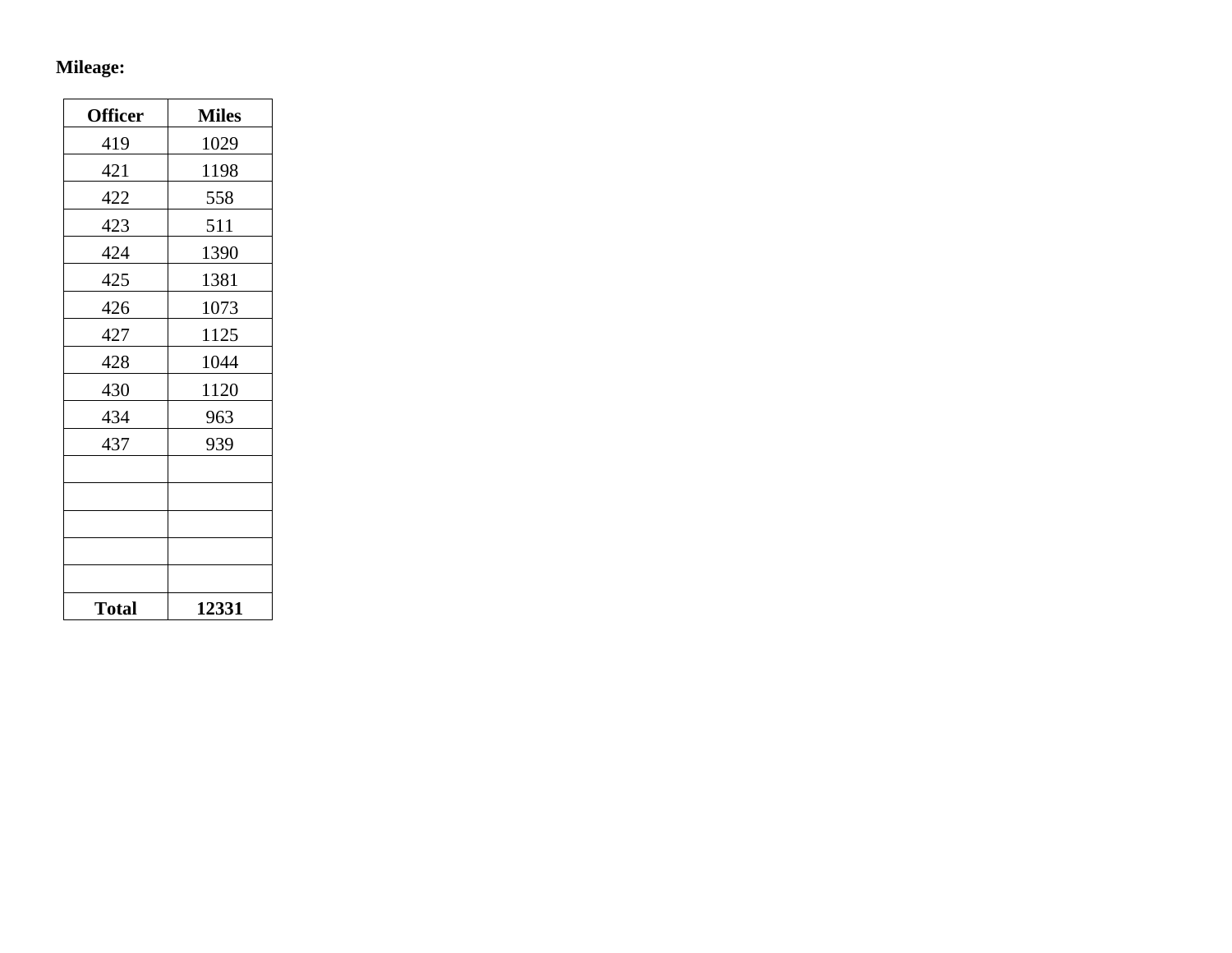# **Mileage:**

| <b>Officer</b> | <b>Miles</b> |
|----------------|--------------|
| 419            | 1029         |
| 421            | 1198         |
| 422            | 558          |
| 423            | 511          |
| 424            | 1390         |
| 425            | 1381         |
| 426            | 1073         |
| 427            | 1125         |
| 428            | 1044         |
| 430            | 1120         |
| 434            | 963          |
| 437            | 939          |
|                |              |
|                |              |
|                |              |
|                |              |
|                |              |
| <b>Total</b>   | 12331        |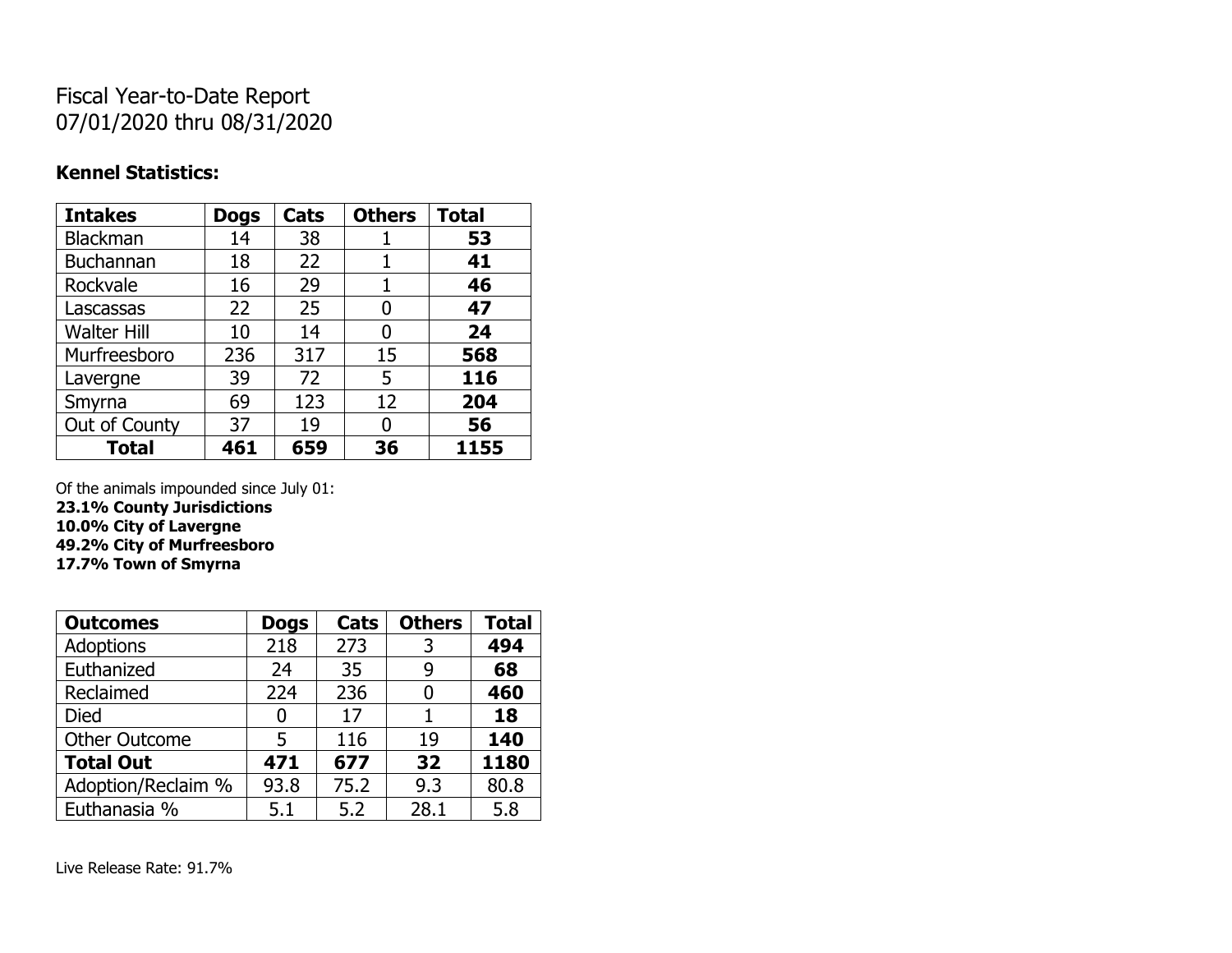## Fiscal Year-to-Date Report 07/01/2020 thru 08/31/2020

### **Kennel Statistics:**

| <b>Intakes</b>     | <b>Dogs</b> | Cats | <b>Others</b> | <b>Total</b> |
|--------------------|-------------|------|---------------|--------------|
| Blackman           | 14          | 38   | 1             | 53           |
| <b>Buchannan</b>   | 18          | 22   |               | 41           |
| Rockvale           | 16          | 29   | 1             | 46           |
| Lascassas          | 22          | 25   | 0             | 47           |
| <b>Walter Hill</b> | 10          | 14   | 0             | 24           |
| Murfreesboro       | 236         | 317  | 15            | 568          |
| Lavergne           | 39          | 72   | 5             | 116          |
| Smyrna             | 69          | 123  | 12            | 204          |
| Out of County      | 37          | 19   | 0             | 56           |
| <b>Total</b>       | 461         | 659  | 36            | 1155         |

Of the animals impounded since July 01:

**23.1% County Jurisdictions**

**10.0% City of Lavergne 49.2% City of Murfreesboro**

**17.7% Town of Smyrna**

| <b>Outcomes</b>      | <b>Dogs</b> | Cats | <b>Others</b> | <b>Total</b> |
|----------------------|-------------|------|---------------|--------------|
| <b>Adoptions</b>     | 218         | 273  | 3             | 494          |
| Euthanized           | 24          | 35   | 9             | 68           |
| Reclaimed            | 224         | 236  | 0             | 460          |
| Died                 | 0           | 17   |               | 18           |
| <b>Other Outcome</b> | 5           | 116  | 19            | 140          |
| <b>Total Out</b>     | 471         | 677  | 32            | 1180         |
| Adoption/Reclaim %   | 93.8        | 75.2 | 9.3           | 80.8         |
| Euthanasia %         | 5.1         | 5.2  | 28.1          | 5.8          |

Live Release Rate: 91.7%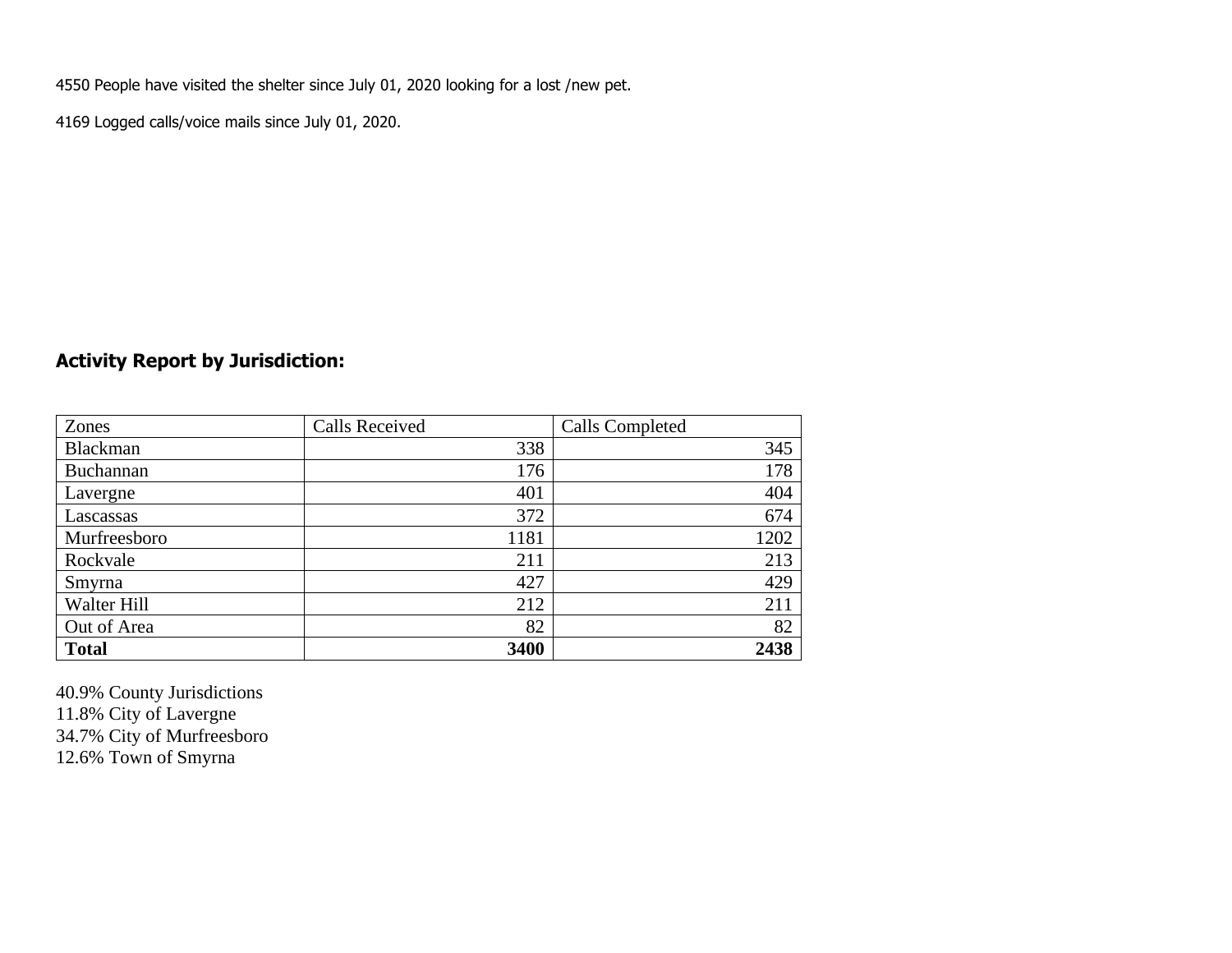4550 People have visited the shelter since July 01, 2020 looking for a lost /new pet.

4169 Logged calls/voice mails since July 01, 2020.

### **Activity Report by Jurisdiction:**

| Zones           | <b>Calls Received</b> | Calls Completed |
|-----------------|-----------------------|-----------------|
| <b>Blackman</b> | 338                   | 345             |
| Buchannan       | 176                   | 178             |
| Lavergne        | 401                   | 404             |
| Lascassas       | 372                   | 674             |
| Murfreesboro    | 1181                  | 1202            |
| Rockvale        | 211                   | 213             |
| Smyrna          | 427                   | 429             |
| Walter Hill     | 212                   | 211             |
| Out of Area     | 82                    | 82              |
| <b>Total</b>    | 3400                  | 2438            |

40.9% County Jurisdictions 11.8% City of Lavergne 34.7% City of Murfreesboro 12.6% Town of Smyrna